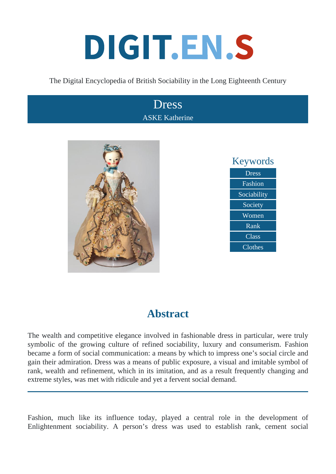# DIGIT.EN.S

#### The Digital Encyclopedia of British Sociability in the Long Eighteenth Century

## Dress ASKE Katherine





## **Abstract**

The wealth and competitive elegance involved in fashionable dress in particular, were truly symbolic of the growing culture of refined sociability, luxury and consumerism. Fashion became a form of social communication: a means by which to impress one's social circle and gain their admiration. Dress was a means of public exposure, a visual and imitable symbol of rank, wealth and refinement, which in its imitation, and as a result frequently changing and extreme styles, was met with ridicule and yet a fervent social demand.

Fashion, much like its influence today, played a central role in the development of Enlightenment sociability. A person's dress was used to establish rank, cement social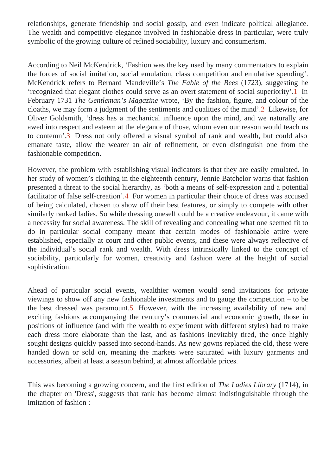relationships, generate friendship and social gossip, and even indicate political allegiance. The wealth and competitive elegance involved in fashionable dress in particular, were truly symbolic of the growing culture of refined sociability, luxury and consumerism.

According to Neil McKendrick, 'Fashion was the key used by many commentators to explain the forces of social imitation, social emulation, class competition and emulative spending'. McKendrick refers to Bernard Mandeville Tshe Fable of the Bee (\$1723), suggesting he 'recognized that elegant clothes could serve as an overt statement of social superiority'. February 1731 The Gentleman's Magazine rote, 'By the fashion, figure, and colour of the cloaths, we may form a judgment of the sentiments and qualities of the 2 nlink evise, for Oliver Goldsmith, 'dress has a mechanical influence upon the mind, and we naturally are awed into respect and esteem at the elegance of those, whom even our reason would teach to contemn'3 Dress not only offered a visual symbol of rank and wealth, but could also emanate taste, allow the wearer an air of refinement, or even distinguish one from the fashionable competition.

However, the problem with establishing visual indicators is that they are easily emulated. In her study of women's clothing in the eighteenth century, Jennie Batchelor warns that fashion presented a threat to the social hierarchy, as 'both a means of self-expression and a potenti facilitator of false self-creation. For women in particular their choice of dress was accused of being calculated, chosen to show off their best features, or simply to compete with other similarly ranked ladies. So while dressing oneself could be a creative endeavour, it came with a necessity for social awareness. The skill of revealing and concealing what one seemed fit to do in particular social company meant that certain modes of fashionable attire were established, especially at court and other public events, and these were always reflective of the individual's social rank and wealth. With dress intrinsically linked to the concept of sociability, particularly for women, creativity and fashion were at the height of social sophistication.

Ahead of particular social events, wealthier women would send invitations for private viewings to show off any new fashionable investments and to gauge the competition – to be the best dressed was paramount. However, with the increasing availability of new and exciting fashions accompanying the century's commercial and economic growth, those in positions of influence (and with the wealth to experiment with different styles) had to make each dress more elaborate than the last, and as fashions inevitably tired, the once highl sought designs quickly passed into second-hands. As new gowns replaced the old, these we handed down or sold on, meaning the markets were saturated with luxury garments and accessories, albeit at least a season behind, at almost affordable prices.

This was becoming a growing concern, and the first editior hef Ladies Library (1714), in the chapter on 'Dress', suggests that rank has become almost indistinguishable through the imitation of fashion :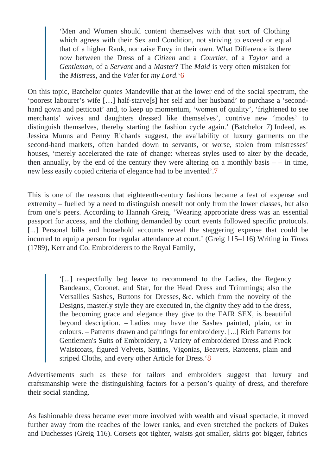'Men and Women should content themselves with that sort of Clothing which agrees with their Sex and Condition, not striving to exceed or equal that of a higher Rank, nor raise Envy in their own. What Difference is there now between the Dress of Caitizen and a Courtier, of a Taylor and a Gentleman of a Servant and a Master? The Maid is very often mistaken for the Mistress and the Valet for my Lord' $6$ 

On this topic, Batchelor quotes Mandeville that at the lower end of the social spectrum, the 'poorest labourer's wife […] half-starve[s] her self and her husband' to purchase a 'secondhand gown and petticoat' and, to keep up momentum, 'women of quality', 'frightened to see merchants' wives and daughters dressed like themselves', contrive new 'modes' to distinguish themselves, thereby starting the fashion cycle againtichelor 7) Indeed, as Jessica Munns and Penny Richards suggest, the availability of luxury garments on the second-hand markets, often handed down to servants, or worse, stolen from mistresses houses, 'merely accelerated the rate of change: whereas styles used to alter by the decade then annually, by the end of the century they were altering on a monthly basis  $-$  – in time, new less easily copied criteria of elegance had to be invented.

This is one of the reasons that eighteenth-century fashions became a feat of expense and extremity – fuelled by a need to distinguish oneself not only from the lower classes, but also from one's peers. According to Hannah Greig, 'Wearing appropriate dress was an essential passport for access, and the clothing demanded by court events followed specific protocols. [...] Personal bills and household accounts reveal the staggering expense that could be incurred to equip a person for regular attendance at court.' (Greig 115-116) Writinges (1789), Kerr and Co. Embroiderers to the Royal Family,

> '[...] respectfully beg leave to recommend to the Ladies, the Regency Bandeaux, Coronet, and Star, for the Head Dress and Trimmings; also the Versailles Sashes, Buttons for Dresses, &c. which from the novelty of the Designs, masterly style they are executed in, the dignity they add to the dress, the becoming grace and elegance they give to the FAIR SEX, is beautiful beyond description. – Ladies may have the Sashes painted, plain, or in colours. – Patterns drawn and paintings for embroidery. [...] Rich Patterns for Gentlemen's Suits of Embroidery, a Variety of embroidered Dress and Frock Waistcoats, figured Velvets, Sattins, Vigonias, Beavers, Ratteens, plain and striped Cloths, and every other Article for Dress.'

Advertisements such as these for tailors and embroiders suggest that luxury and craftsmanship were the distinguishing factors for a person's quality of dress, and therefore their social standing.

As fashionable dress became ever more involved with wealth and visual spectacle, it moved further away from the reaches of the lower ranks, and even stretched the pockets of Dukes and Duchesses (reig 116). Corsets got tighter, waists got smaller, skirts got bigger, fabrics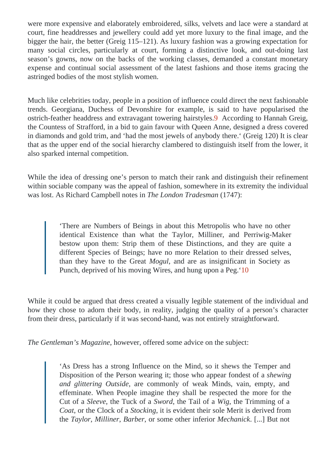were more expensive and elaborately embroidered, silks, velvets and lace were a standard at court, fine headdresses and jewellery could add yet more luxury to the final image, and the bigger the hair, the bette G (eig 115–121) As luxury fashion was a growing expectation for many social circles, particularly at court, forming a distinctive look, and out-doing last season's gowns, now on the backs of the working classes, demanded a constant monetary expense and continual social assessment of the latest fashions and those items gracing the astringed bodies of the most stylish women.

Much like celebrities today, people in a position of influence could direct the next fashionable trends. Georgiana, Duchess of Devonshire for example, is said to have popularised the ostrich-feather headdress and extravagant towering hairstyles cording to Hannah Greig, the Countess of Strafford, in a bid to gain favour with Queen Anne, designed a dress covered in diamonds and gold trim, and dad the most jewels of anybody there are 120) It is clear that as the upper end of the social hierarchy clambered to distinguish itself from the lower, it also sparked internal competition.

While the idea of dressing one's person to match their rank and distinguish their refinement within sociable company was the appeal of fashion, somewhere in its extremity the individual was lost. As Richard Campbell notes Time London Tradesman (1747):

> 'There are Numbers of Beings in about this Metropolis who have no other identical Existence than what the Taylor, Milliner, and Perriwig-Maker bestow upon them: Strip them of these Distinctions, and they are quite a different Species of Beings; have no more Relation to their dressed selves, than they have to the Greatogul, and are as insignificant in Society as Punch, deprived of his moving Wires, and hung upon a Reg.

While it could be argued that dress created a visually legible statement of the individual and how they chose to adorn their body, in reality, judging the quality of a person's character from their dress, particularly if it was second-hand, was not entirely straightforward.

The Gentleman's Magazin bowever, offered some advice on the subject:

'As Dress has a strong Influence on the Mind, so it shews the Temper and Disposition of the Person wearing it; those who appear fondest hot waing and glittering Outside are commonly of weak Minds, vain, empty, and effeminate. When People imagine they shall be respected the more for the Cut of a Sleeve the Tuck of a Sword the Tail of a Wig, the Trimming of a Coat, or the Clock of  $\delta$ tocking it is evident their sole Merit is derived from the Taylor, Milliner, Barber, or some other inferid Mechanick [...] But not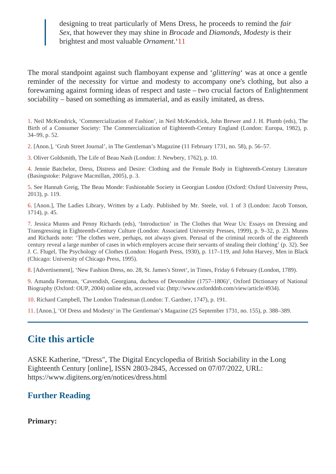designing to treat particularly of Mens Dress, he proceeds to reminaline Sex that however they may shine **Brocade and Diamonds** Modesty is their brightest and most valuable nament 11

The moral standpoint against such flamboyant expense dittering was at once a gentle reminder of the necessity for virtue and modesty to accompany one's clothing, but also a forewarning against forming ideas of respect and taste – two crucial factors of Enlightenment sociability – based on something as immaterial, and as easily imitated, as dress.

1. Neil McKendrick, 'Commercialization of Fashion', in Neil McKendrick, John Brewer and J. H. Plumb (eds), The Birth of a Consumer Society: The Commercialization of Eighteenth-Century England (London: Europa, 1982), p. 34–99, p. 52.

2. [Anon.], 'Grub Street Journal', in The Gentleman's Magazine (11 February 1731, no. 58), p. 56–57.

3. Oliver Goldsmith, The Life of Beau Nash (London: J. Newbery, 1762), p. 10.

4. Jennie Batchelor, Dress, Distress and Desire: Clothing and the Female Body in Eighteenth-Century Literature (Basingstoke: Palgrave Macmillan, 2005), p. 3.

5. See Hannah Greig, The Beau Monde: Fashionable Society in Georgian London (Oxford: Oxford University Press, 2013), p. 119.

6. [Anon.], The Ladies Library, Written by a Lady. Published by Mr. Steele, vol. 1 of 3 (London: Jacob Tonson, 1714), p. 45.

7. Jessica Munns and Penny Richards (eds), 'Introduction' in The Clothes that Wear Us: Essays on Dressing and Transgressing in Eighteenth-Century Culture (London: Associated University Presses, 1999), p. 9–32, p. 23. Munns and Richards note: 'The clothes were, perhaps, not always given. Perusal of the criminal records of the eighteenth century reveal a large number of cases in which employers accuse their servants of stealing their clothing' (p. 32). See J. C. Flugel, The Psychology of Clothes (London: Hogarth Press, 1930), p. 117–119, and John Harvey, Men in Black (Chicago: University of Chicago Press, 1995).

8. [Advertisement], 'New Fashion Dress, no. 28, St. James's Street', in Times, Friday 6 February (London, 1789).

9. Amanda Foreman, 'Cavendish, Georgiana, duchess of Devonshire (1757–1806)', Oxford Dictionary of National Biography (Oxford: OUP, 2004) online edn, accessed via: (http://www.oxforddnb.com/view/article/4934).

10. Richard Campbell, The London Tradesman (London: T. Gardner, 1747), p. 191.

11. [Anon.], 'Of Dress and Modesty' in The Gentleman's Magazine (25 September 1731, no. 155), p. 388–389.

## Cite this article

ASKE Katherine, "Dress'The Digital Encyclopedia of British Sociability in the Long Eighteenth Centur [online], ISSN 2803-2845, Accessed on 07/07/2022, URL: https://www.digitens.org/en/notices/dress.html

#### Further Reading

Primary: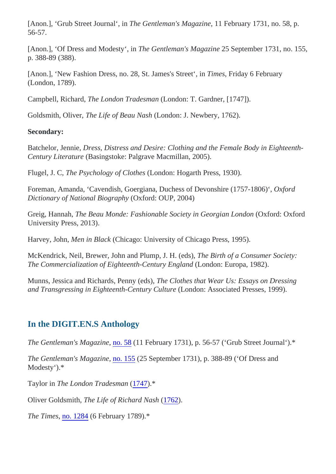[Anon.], 'Grub Street Journal', in The Gentleman's Magazine 1 February 1731, no. 58, p. 56-57.

[Anon.], 'Of Dress and Modesty', in The Gentleman's Magazine September 1731, no. 155, p. 388-89 (388).

[Anon.], 'New Fashion Dress, no. 28, St. James's Street(iniumnes Friday 6 February (London, 1789).

Campbell, RichardThe London Tradesmathondon: T. Gardner, [1747]).

Goldsmith, Oliver, The Life of Beau Nash London: J. Newbery, 1762).

Secondary:

Batchelor, Jennie Dress, Distress and Desire: Clothing and the Female Body in Eighteenth-Century Literature (Basingstoke: Palgrave Macmillan, 2005).

Flugel, J. C, The Psychology of Cloth (Bondon: Hogarth Press, 1930).

Foreman, Amanda, 'Cavendish, Goergiana, Duchess of Devonshire (1757-0806) Dictionary of National Biography Oxford: OUP, 2004)

Greig, Hannah The Beau Monde: Fashionable Society in Georgian Londom ord: Oxford University Press, 2013).

Harvey, JohnMen in Black (Chicago: University of Chicago Press, 1995).

McKendrick, Neil, Brewer, John and Plump, J. H. (edbie Birth of a Consumer Society: The Commercialization of Eighteenth-Century Englet mandon: Europa, 1982).

Munns, Jessica and Richards, Penny (edte), Clothes that Wear Us: Essays on Dressing and Transgressing in Eighteenth-Century Cult(Lirendon: Associated Presses, 1999).

### In the DIGIT.EN.S Anthology

The Gentleman's Magazine , 58 (11 February 1731), p. 56-57 ('Grub Street Journal').<sup>\*</sup>

The Gentleman's Magazineo. 155 (25 September 1731), p. 388-89 ('Of Dress and Modesty').\*

Taylor i[n](https://www.digitens.org/en/taylor-london-tradesman-1747.html) The London Tradesman<sup>747</sup>.\*

Oliver Goldsmit[h](https://www.digitens.org/en/oliver-goldsmith-life-beau-nash-1762.html), The Life of Richard Nash 762.

The Time[s](https://www.digitens.org/en/new-fashion-dress-times-1789.html)no.  $12846$  February 1789). $*$